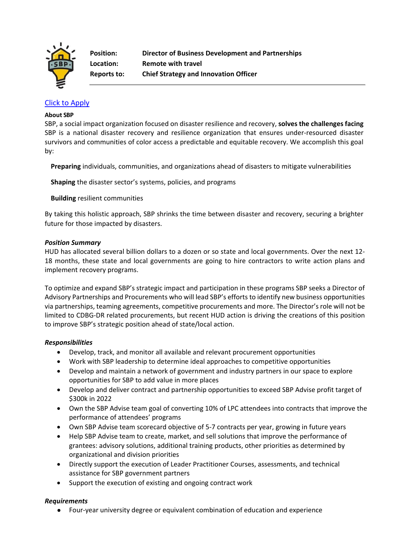

# [Click to Apply](https://recruiting.paylocity.com/recruiting/jobs/Apply/1140642/SBP/Director-of-Business-Development-and-Partnerships)

### **About SBP**

SBP, a social impact organization focused on disaster resilience and recovery, **solves the challenges facing**  SBP is a national disaster recovery and resilience organization that ensures under-resourced disaster survivors and communities of color access a predictable and equitable recovery. We accomplish this goal by:

**Preparing** individuals, communities, and organizations ahead of disasters to mitigate vulnerabilities

**Shaping** the disaster sector's systems, policies, and programs

**Building** resilient communities

By taking this holistic approach, SBP shrinks the time between disaster and recovery, securing a brighter future for those impacted by disasters.

## *Position Summary*

HUD has allocated several billion dollars to a [dozen or so state and local governments.](https://www.hud.gov/press/press_releases_media_advisories/hud_no_22_049) Over the next 12- 18 months, these state and local governments are going to hire contractors to write action plans and implement recovery programs.

To optimize and expand SBP's strategic impact and participation in these programs SBP seeks a Director of Advisory Partnerships and Procurements who will lead SBP's efforts to identify new business opportunities via partnerships, teaming agreements, competitive procurements and more. The Director's role will not be limited to CDBG-DR related procurements, but recent HUD action is driving the creations of this position to improve SBP's strategic position ahead of state/local action.

## *Responsibilities*

- Develop, track, and monitor all available and relevant procurement opportunities
- Work with SBP leadership to determine ideal approaches to competitive opportunities
- Develop and maintain a network of government and industry partners in our space to explore opportunities for SBP to add value in more places
- Develop and deliver contract and partnership opportunities to exceed SBP Advise profit target of \$300k in 2022
- Own the SBP Advise team goal of converting 10% of LPC attendees into contracts that improve the performance of attendees' programs
- Own SBP Advise team scorecard objective of 5-7 contracts per year, growing in future years
- Help SBP Advise team to create, market, and sell solutions that improve the performance of grantees: advisory solutions, additional training products, other priorities as determined by organizational and division priorities
- Directly support the execution of Leader Practitioner Courses, assessments, and technical assistance for SBP government partners
- Support the execution of existing and ongoing contract work

## *Requirements*

● Four-year university degree or equivalent combination of education and experience